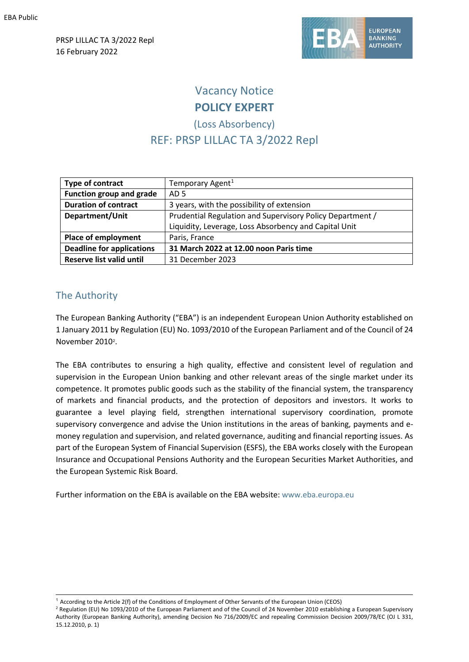PRSP LILLAC TA 3/2022 Repl 16 February 2022



# Vacancy Notice **POLICY EXPERT**

# (Loss Absorbency) REF: PRSP LILLAC TA 3/2022 Repl

| Type of contract                 | Temporary Agent <sup>1</sup>                              |
|----------------------------------|-----------------------------------------------------------|
| <b>Function group and grade</b>  | AD 5                                                      |
| <b>Duration of contract</b>      | 3 years, with the possibility of extension                |
| Department/Unit                  | Prudential Regulation and Supervisory Policy Department / |
|                                  | Liquidity, Leverage, Loss Absorbency and Capital Unit     |
| Place of employment              | Paris, France                                             |
| <b>Deadline for applications</b> | 31 March 2022 at 12.00 noon Paris time                    |
| <b>Reserve list valid until</b>  | 31 December 2023                                          |

# The Authority

The European Banking Authority ("EBA") is an independent European Union Authority established on 1 January 2011 by Regulation (EU) No. 1093/2010 of the European Parliament and of the Council of 24 November [2](#page-0-1)010<sup>2</sup>.

The EBA contributes to ensuring a high quality, effective and consistent level of regulation and supervision in the European Union banking and other relevant areas of the single market under its competence. It promotes public goods such as the stability of the financial system, the transparency of markets and financial products, and the protection of depositors and investors. It works to guarantee a level playing field, strengthen international supervisory coordination, promote supervisory convergence and advise the Union institutions in the areas of banking, payments and emoney regulation and supervision, and related governance, auditing and financial reporting issues. As part of the European System of Financial Supervision (ESFS), the EBA works closely with the European Insurance and Occupational Pensions Authority and the European Securities Market Authorities, and the European Systemic Risk Board.

Further information on the EBA is available on the EBA website: [www.eba.europa.eu](http://www.eba.europa.eu/)

<span id="page-0-1"></span><span id="page-0-0"></span><sup>1</sup> According to the Article 2(f) of the Conditions of Employment of Other Servants of the European Union (CEOS) <sup>2</sup> Regulation (EU) No 1093/2010 of the European Parliament and of the Council of 24 November 2010 establishing a European Supervisory Authority (European Banking Authority), amending Decision No 716/2009/EC and repealing Commission Decision 2009/78/EC (OJ L 331, 15.12.2010, p. 1)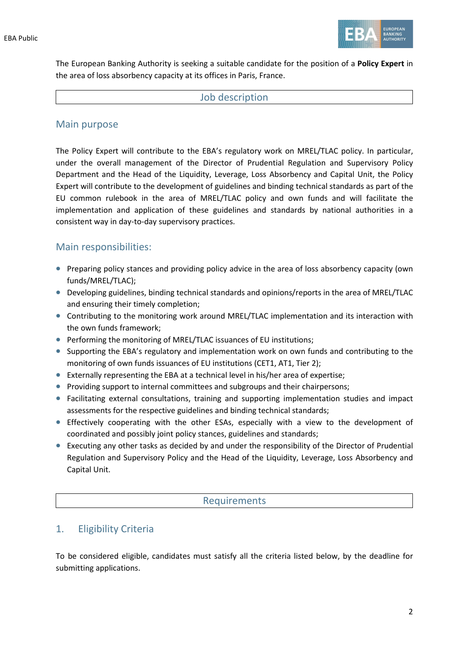

The European Banking Authority is seeking a suitable candidate for the position of a **Policy Expert** in the area of loss absorbency capacity at its offices in Paris, France.

#### Job description

### Main purpose

The Policy Expert will contribute to the EBA's regulatory work on MREL/TLAC policy. In particular, under the overall management of the Director of Prudential Regulation and Supervisory Policy Department and the Head of the Liquidity, Leverage, Loss Absorbency and Capital Unit, the Policy Expert will contribute to the development of guidelines and binding technical standards as part of the EU common rulebook in the area of MREL/TLAC policy and own funds and will facilitate the implementation and application of these guidelines and standards by national authorities in a consistent way in day-to-day supervisory practices.

### Main responsibilities:

- Preparing policy stances and providing policy advice in the area of loss absorbency capacity (own funds/MREL/TLAC);
- Developing guidelines, binding technical standards and opinions/reports in the area of MREL/TLAC and ensuring their timely completion;
- Contributing to the monitoring work around MREL/TLAC implementation and its interaction with the own funds framework;
- Performing the monitoring of MREL/TLAC issuances of EU institutions;
- Supporting the EBA's regulatory and implementation work on own funds and contributing to the monitoring of own funds issuances of EU institutions (CET1, AT1, Tier 2);
- Externally representing the EBA at a technical level in his/her area of expertise;
- Providing support to internal committees and subgroups and their chairpersons;
- Facilitating external consultations, training and supporting implementation studies and impact assessments for the respective guidelines and binding technical standards;
- Effectively cooperating with the other ESAs, especially with a view to the development of coordinated and possibly joint policy stances, guidelines and standards;
- Executing any other tasks as decided by and under the responsibility of the Director of Prudential Regulation and Supervisory Policy and the Head of the Liquidity, Leverage, Loss Absorbency and Capital Unit.

### Requirements

# 1. Eligibility Criteria

To be considered eligible, candidates must satisfy all the criteria listed below, by the deadline for submitting applications.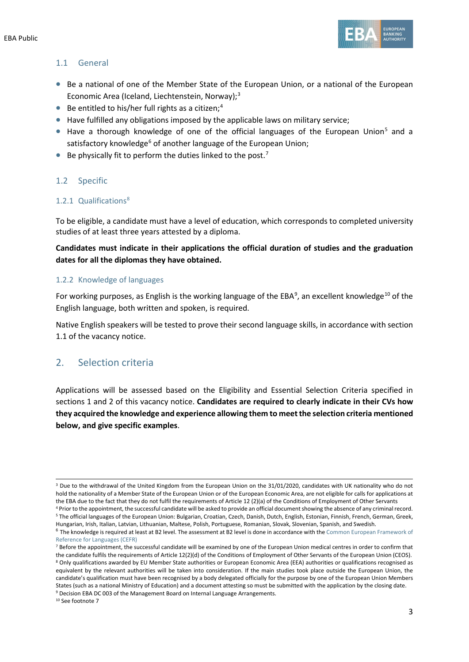

### 1.1 General

- Be a national of one of the Member State of the European Union, or a national of the European Economic Area (Iceland, Liechtenstein, Norway);<sup>[3](#page-2-0)</sup>
- Be entitled to his/her full rights as a citizen; [4](#page-2-1)
- Have fulfilled any obligations imposed by the applicable laws on military service;
- Have a thorough knowledge of one of the official languages of the European Union<sup>[5](#page-2-2)</sup> and a satisfactory knowledge<sup>[6](#page-2-3)</sup> of another language of the European Union:
- $\bullet$  Be physically fit to perform the duties linked to the post.<sup>[7](#page-2-4)</sup>

### 1.2 Specific

#### 1.2.1 Qualifications<sup>[8](#page-2-5)</sup>

To be eligible, a candidate must have a level of education, which corresponds to completed university studies of at least three years attested by a diploma.

**Candidates must indicate in their applications the official duration of studies and the graduation dates for all the diplomas they have obtained.**

#### 1.2.2 Knowledge of languages

For working purposes, as English is the working language of the EBA<sup>[9](#page-2-6)</sup>, an excellent knowledge<sup>[10](#page-2-7)</sup> of the English language, both written and spoken, is required.

Native English speakers will be tested to prove their second language skills, in accordance with section 1.1 of the vacancy notice.

### 2. Selection criteria

Applications will be assessed based on the Eligibility and Essential Selection Criteria specified in sections 1 and 2 of this vacancy notice. **Candidates are required to clearly indicate in their CVs how they acquired the knowledge and experience allowing them to meet the selection criteria mentioned below, and give specific examples**.

<span id="page-2-0"></span><sup>&</sup>lt;sup>3</sup> Due to the withdrawal of the United Kingdom from the European Union on the 31/01/2020, candidates with UK nationality who do not hold the nationality of a Member State of the European Union or of the European Economic Area, are not eligible for calls for applications at the EBA due to the fact that they do not fulfil the requirements of Article 12 (2)(a) of the Conditions of Employment of Other Servants

<span id="page-2-2"></span><span id="page-2-1"></span><sup>&</sup>lt;sup>4</sup> Prior to the appointment, the successful candidate will be asked to provide an official document showing the absence of any criminal record.<br><sup>5</sup> The official languages of the European Union: Bulgarian. Croatian. Czech. Hungarian, Irish, Italian, Latvian, Lithuanian, Maltese, Polish, Portuguese, Romanian, Slovak, Slovenian, Spanish, and Swedish.

<span id="page-2-3"></span><sup>&</sup>lt;sup>6</sup> The knowledge is required at least at B2 level. The assessment at B2 level is done in accordance with the Common European Framework of [Reference for Languages \(CEFR\)](https://europa.eu/europass/en/common-european-framework-reference)

<span id="page-2-7"></span><span id="page-2-6"></span><span id="page-2-5"></span><span id="page-2-4"></span> $<sup>7</sup>$  Before the appointment, the successful candidate will be examined by one of the European Union medical centres in order to confirm that</sup> the candidate fulfils the requirements of Article 12(2)(d) of the Conditions of Employment of Other Servants of the European Union (CEOS). <sup>8</sup> Only qualifications awarded by EU Member State authorities or European Economic Area (EEA) authorities or qualifications recognised as equivalent by the relevant authorities will be taken into consideration. If the main studies took place outside the European Union, the candidate's qualification must have been recognised by a body delegated officially for the purpose by one of the European Union Members States (such as a national Ministry of Education) and a document attesting so must be submitted with the application by the closing date. <sup>9</sup> Decision EBA DC 003 of the Management Board on Internal Language Arrangements.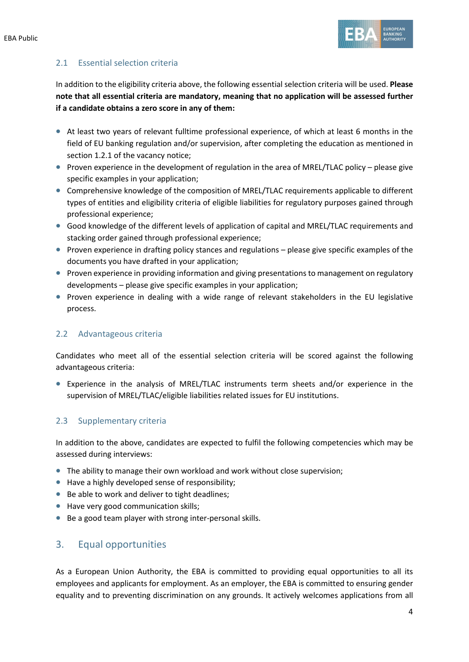

### 2.1 Essential selection criteria

In addition to the eligibility criteria above, the following essential selection criteria will be used. **Please note that all essential criteria are mandatory, meaning that no application will be assessed further if a candidate obtains a zero score in any of them:**

- At least two years of relevant fulltime professional experience, of which at least 6 months in the field of EU banking regulation and/or supervision, after completing the education as mentioned in section 1.2.1 of the vacancy notice;
- Proven experience in the development of regulation in the area of MREL/TLAC policy please give specific examples in your application;
- Comprehensive knowledge of the composition of MREL/TLAC requirements applicable to different types of entities and eligibility criteria of eligible liabilities for regulatory purposes gained through professional experience;
- Good knowledge of the different levels of application of capital and MREL/TLAC requirements and stacking order gained through professional experience;
- Proven experience in drafting policy stances and regulations please give specific examples of the documents you have drafted in your application;
- Proven experience in providing information and giving presentations to management on regulatory developments – please give specific examples in your application;
- Proven experience in dealing with a wide range of relevant stakeholders in the EU legislative process.

### 2.2 Advantageous criteria

Candidates who meet all of the essential selection criteria will be scored against the following advantageous criteria:

• Experience in the analysis of MREL/TLAC instruments term sheets and/or experience in the supervision of MREL/TLAC/eligible liabilities related issues for EU institutions.

### 2.3 Supplementary criteria

In addition to the above, candidates are expected to fulfil the following competencies which may be assessed during interviews:

- The ability to manage their own workload and work without close supervision;
- Have a highly developed sense of responsibility;
- Be able to work and deliver to tight deadlines;
- Have very good communication skills;
- Be a good team player with strong inter-personal skills.

### 3. Equal opportunities

As a European Union Authority, the EBA is committed to providing equal opportunities to all its employees and applicants for employment. As an employer, the EBA is committed to ensuring gender equality and to preventing discrimination on any grounds. It actively welcomes applications from all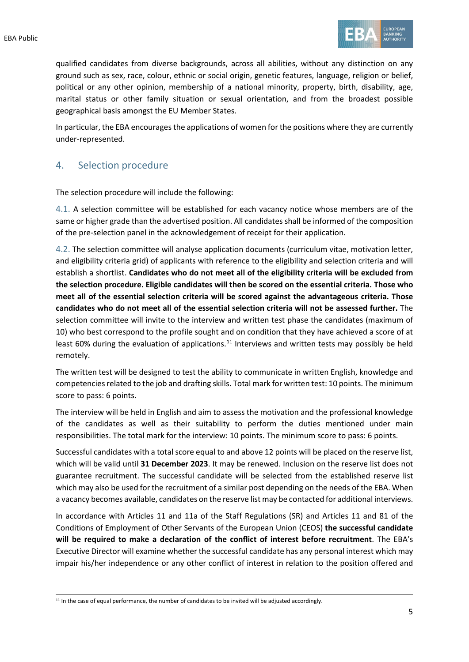

qualified candidates from diverse backgrounds, across all abilities, without any distinction on any ground such as sex, race, colour, ethnic or social origin, genetic features, language, religion or belief, political or any other opinion, membership of a national minority, property, birth, disability, age, marital status or other family situation or sexual orientation, and from the broadest possible geographical basis amongst the EU Member States.

In particular, the EBA encourages the applications of women for the positions where they are currently under-represented.

### 4. Selection procedure

The selection procedure will include the following:

4.1. A selection committee will be established for each vacancy notice whose members are of the same or higher grade than the advertised position. All candidates shall be informed of the composition of the pre-selection panel in the acknowledgement of receipt for their application.

4.2. The selection committee will analyse application documents (curriculum vitae, motivation letter, and eligibility criteria grid) of applicants with reference to the eligibility and selection criteria and will establish a shortlist. **Candidates who do not meet all of the eligibility criteria will be excluded from the selection procedure. Eligible candidates will then be scored on the essential criteria. Those who meet all of the essential selection criteria will be scored against the advantageous criteria. Those candidates who do not meet all of the essential selection criteria will not be assessed further.** The selection committee will invite to the interview and written test phase the candidates (maximum of 10) who best correspond to the profile sought and on condition that they have achieved a score of at least 60% during the evaluation of applications.<sup>[11](#page-4-0)</sup> Interviews and written tests may possibly be held remotely.

The written test will be designed to test the ability to communicate in written English, knowledge and competencies related to the job and drafting skills. Total mark for written test: 10 points. The minimum score to pass: 6 points.

The interview will be held in English and aim to assess the motivation and the professional knowledge of the candidates as well as their suitability to perform the duties mentioned under main responsibilities. The total mark for the interview: 10 points. The minimum score to pass: 6 points.

Successful candidates with a total score equal to and above 12 points will be placed on the reserve list, which will be valid until **31 December 2023**. It may be renewed. Inclusion on the reserve list does not guarantee recruitment. The successful candidate will be selected from the established reserve list which may also be used for the recruitment of a similar post depending on the needs of the EBA. When a vacancy becomes available, candidates on the reserve list may be contacted for additional interviews.

In accordance with Articles 11 and 11a of the Staff Regulations (SR) and Articles 11 and 81 of the Conditions of Employment of Other Servants of the European Union (CEOS) **the successful candidate will be required to make a declaration of the conflict of interest before recruitment**. The EBA's Executive Director will examine whether the successful candidate has any personal interest which may impair his/her independence or any other conflict of interest in relation to the position offered and

<span id="page-4-0"></span><sup>&</sup>lt;sup>11</sup> In the case of equal performance, the number of candidates to be invited will be adjusted accordingly.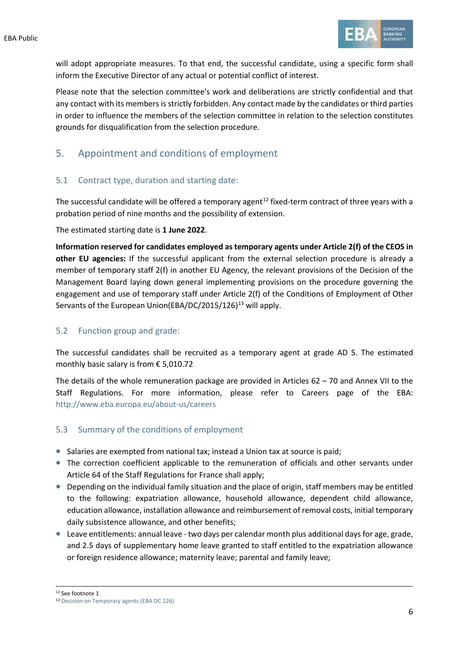

will adopt appropriate measures. To that end, the successful candidate, using a specific form shall inform the Executive Director of any actual or potential conflict of interest.

Please note that the selection committee's work and deliberations are strictly confidential and that any contact with its members is strictly forbidden. Any contact made by the candidates or third parties in order to influence the members of the selection committee in relation to the selection constitutes grounds for disqualification from the selection procedure.

## 5. Appointment and conditions of employment

### 5.1 Contract type, duration and starting date:

The successful candidate will be offered a temporary agent<sup>[12](#page-5-0)</sup> fixed-term contract of three years with a probation period of nine months and the possibility of extension.

The estimated starting date is **1 June 2022**.

**Information reserved for candidates employed as temporary agents under Article 2(f) of the CEOS in other EU agencies:** If the successful applicant from the external selection procedure is already a member of temporary staff 2(f) in another EU Agency, the relevant provisions of the Decision of the Management Board laying down general implementing provisions on the procedure governing the engagement and use of temporary staff under Article 2(f) of the Conditions of Employment of Other Servants of the European Union(EBA/DC/2015/126)<sup>[13](#page-5-1)</sup> will apply.

### 5.2 Function group and grade:

The successful candidates shall be recruited as a temporary agent at grade AD 5. The estimated monthly basic salary is from € 5,010.72

The details of the whole remuneration package are provided in Articles 62 – 70 and Annex VII to the Staff Regulations. For more information, please refer to Careers page of the EBA: <http://www.eba.europa.eu/about-us/careers>

### 5.3 Summary of the conditions of employment

- Salaries are exempted from national tax; instead a Union tax at source is paid;
- The correction coefficient applicable to the remuneration of officials and other servants under Article 64 of the Staff Regulations for France shall apply;
- Depending on the individual family situation and the place of origin, staff members may be entitled to the following: expatriation allowance, household allowance, dependent child allowance, education allowance, installation allowance and reimbursement of removal costs, initial temporary daily subsistence allowance, and other benefits;
- Leave entitlements: annual leave two days per calendar month plus additional days for age, grade, and 2.5 days of supplementary home leave granted to staff entitled to the expatriation allowance or foreign residence allowance; maternity leave; parental and family leave;

<span id="page-5-0"></span><sup>12</sup> See footnote 1

<span id="page-5-1"></span><sup>13</sup> [Decision on Temporary agents \(EBA DC 126\)](https://www.eba.europa.eu/sites/default/documents/files/documents/10180/15766/21960254-0f33-4631-8ed4-b5dc2a501fb3/Decision%20on%20temporary%20agents%20%28EBA%20DC%20126%29.pdf?retry=1)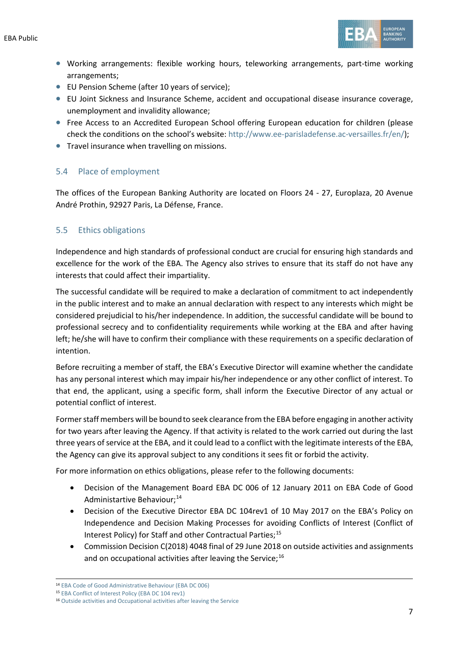EBA Public



- Working arrangements: flexible working hours, teleworking arrangements, part-time working arrangements;
- EU Pension Scheme (after 10 years of service);
- EU Joint Sickness and Insurance Scheme, accident and occupational disease insurance coverage, unemployment and invalidity allowance;
- Free Access to an Accredited European School offering European education for children (please check the conditions on the school's website: [http://www.ee-parisladefense.ac-versailles.fr/en/\)](http://www.ee-parisladefense.ac-versailles.fr/en/);
- Travel insurance when travelling on missions.

### 5.4 Place of employment

The offices of the European Banking Authority are located on Floors 24 - 27, Europlaza, 20 Avenue André Prothin, 92927 Paris, La Défense, France.

### 5.5 Ethics obligations

Independence and high standards of professional conduct are crucial for ensuring high standards and excellence for the work of the EBA. The Agency also strives to ensure that its staff do not have any interests that could affect their impartiality.

The successful candidate will be required to make a declaration of commitment to act independently in the public interest and to make an annual declaration with respect to any interests which might be considered prejudicial to his/her independence. In addition, the successful candidate will be bound to professional secrecy and to confidentiality requirements while working at the EBA and after having left; he/she will have to confirm their compliance with these requirements on a specific declaration of intention.

Before recruiting a member of staff, the EBA's Executive Director will examine whether the candidate has any personal interest which may impair his/her independence or any other conflict of interest. To that end, the applicant, using a specific form, shall inform the Executive Director of any actual or potential conflict of interest.

Former staff members will be bound to seek clearance from the EBA before engaging in another activity for two years after leaving the Agency. If that activity is related to the work carried out during the last three years of service at the EBA, and it could lead to a conflict with the legitimate interests of the EBA, the Agency can give its approval subject to any conditions it sees fit or forbid the activity.

For more information on ethics obligations, please refer to the following documents:

- Decision of the Management Board EBA DC 006 of 12 January 2011 on EBA Code of Good Administartive Behaviour;<sup>[14](#page-6-0)</sup>
- Decision of the Executive Director EBA DC 104rev1 of 10 May 2017 on the EBA's Policy on Independence and Decision Making Processes for avoiding Conflicts of Interest (Conflict of Interest Policy) for Staff and other Contractual Parties;<sup>[15](#page-6-1)</sup>
- Commission Decision C(2018) 4048 final of 29 June 2018 on outside activities and assignments and on occupational activities after leaving the Service; $^{16}$  $^{16}$  $^{16}$

<span id="page-6-1"></span><span id="page-6-0"></span><sup>14</sup> [EBA Code of Good Administrative Behaviour \(EBA DC 006\)](https://eba.europa.eu/sites/default/documents/files/documents/10180/16082/435054e4-0d54-42cf-ad98-57f87bfb2426/EBA-DC-006-_Code-of-Administrative-Behaviour_---FINAL.pdf)

<sup>15</sup> [EBA Conflict of Interest Policy \(EBA DC 104 rev1\)](https://eba.europa.eu/sites/default/documents/files/document_library/EBA%20DC%20104rev1%20%28CoI%20Policy%20for%20Staff%20and%20Other%20Contractual%20Parties%29_final_0.pdf)

<span id="page-6-2"></span><sup>16</sup> [Outside activities and Occupational activities after leaving the Service](https://eba.europa.eu/sites/default/documents/files/document_library/897086/decision_n182_commission_decision_on_outside_activities_en.pdf)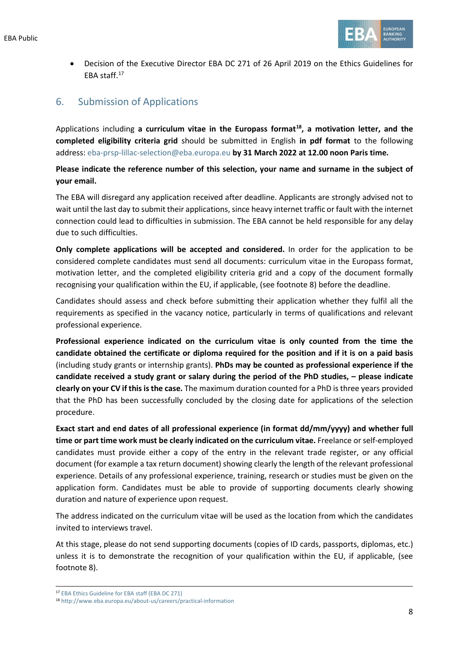

• Decision of the Executive Director EBA DC 271 of 26 April 2019 on the Ethics Guidelines for EBA staff[.17](#page-7-0)

# 6. Submission of Applications

Applications including **a curriculum vitae in the Europass format[18](#page-7-1), a motivation letter, and the completed eligibility criteria grid** should be submitted in English **in pdf format** to the following address: [eba-prsp-lillac-selection@eba.europa.eu](mailto:eba-prsp-lillac-selection@eba.europa.eu) **by 31 March 2022 at 12.00 noon Paris time.**

**Please indicate the reference number of this selection, your name and surname in the subject of your email.**

The EBA will disregard any application received after deadline. Applicants are strongly advised not to wait until the last day to submit their applications, since heavy internet traffic or fault with the internet connection could lead to difficulties in submission. The EBA cannot be held responsible for any delay due to such difficulties.

**Only complete applications will be accepted and considered.** In order for the application to be considered complete candidates must send all documents: curriculum vitae in the Europass format, motivation letter, and the completed eligibility criteria grid and a copy of the document formally recognising your qualification within the EU, if applicable, (see footnote 8) before the deadline.

Candidates should assess and check before submitting their application whether they fulfil all the requirements as specified in the vacancy notice, particularly in terms of qualifications and relevant professional experience.

**Professional experience indicated on the curriculum vitae is only counted from the time the candidate obtained the certificate or diploma required for the position and if it is on a paid basis** (including study grants or internship grants). **PhDs may be counted as professional experience if the candidate received a study grant or salary during the period of the PhD studies, – please indicate clearly on your CV if this is the case.** The maximum duration counted for a PhD is three years provided that the PhD has been successfully concluded by the closing date for applications of the selection procedure.

**Exact start and end dates of all professional experience (in format dd/mm/yyyy) and whether full time or part time work must be clearly indicated on the curriculum vitae.** Freelance or self-employed candidates must provide either a copy of the entry in the relevant trade register, or any official document (for example a tax return document) showing clearly the length of the relevant professional experience. Details of any professional experience, training, research or studies must be given on the application form. Candidates must be able to provide of supporting documents clearly showing duration and nature of experience upon request.

The address indicated on the curriculum vitae will be used as the location from which the candidates invited to interviews travel.

At this stage, please do not send supporting documents (copies of ID cards, passports, diplomas, etc.) unless it is to demonstrate the recognition of your qualification within the EU, if applicable, (see footnote 8).

<span id="page-7-0"></span><sup>17</sup> [EBA Ethics Guideline for EBA staff \(EBA DC 271\)](https://eba.europa.eu/sites/default/documents/files/document_library/EBA%20DC%20271%20%28Decision%20on%20the%20Revised%20Ethics%20Guidelines%20for%20Staff%29.pdf)

<span id="page-7-1"></span><sup>18</sup> <http://www.eba.europa.eu/about-us/careers/practical-information>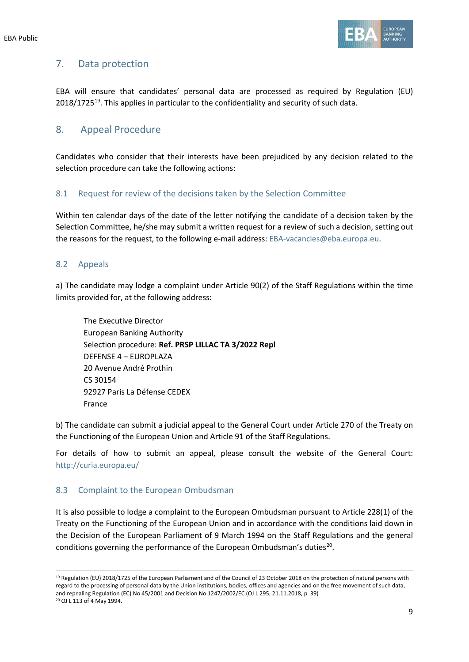

## 7. Data protection

EBA will ensure that candidates' personal data are processed as required by Regulation (EU) 2018/1725<sup>[19](#page-8-0)</sup>. This applies in particular to the confidentiality and security of such data.

### 8. Appeal Procedure

Candidates who consider that their interests have been prejudiced by any decision related to the selection procedure can take the following actions:

### 8.1 Request for review of the decisions taken by the Selection Committee

Within ten calendar days of the date of the letter notifying the candidate of a decision taken by the Selection Committee, he/she may submit a written request for a review of such a decision, setting out the reasons for the request, to the following e-mail address: [EBA-vacancies@eba.europa.eu.](mailto:EBA-vacancies@eba.europa.eu)

### 8.2 Appeals

a) The candidate may lodge a complaint under Article 90(2) of the Staff Regulations within the time limits provided for, at the following address:

The Executive Director European Banking Authority Selection procedure: **Ref. PRSP LILLAC TA 3/2022 Repl** DEFENSE 4 – EUROPLAZA 20 Avenue André Prothin CS 30154 92927 Paris La Défense CEDEX France

b) The candidate can submit a judicial appeal to the General Court under Article 270 of the Treaty on the Functioning of the European Union and Article 91 of the Staff Regulations.

For details of how to submit an appeal, please consult the website of the General Court: http://curia.europa.eu/

#### 8.3 Complaint to the European Ombudsman

It is also possible to lodge a complaint to the European Ombudsman pursuant to Article 228(1) of the Treaty on the Functioning of the European Union and in accordance with the conditions laid down in the Decision of the European Parliament of 9 March 1994 on the Staff Regulations and the general conditions governing the performance of the European Ombudsman's duties<sup>20</sup>.

<span id="page-8-1"></span><span id="page-8-0"></span><sup>19</sup> Regulation (EU) 2018/1725 of the European Parliament and of the Council of 23 October 2018 on the protection of natural persons with regard to the processing of personal data by the Union institutions, bodies, offices and agencies and on the free movement of such data, and repealing Regulation (EC) No 45/2001 and Decision No 1247/2002/EC (OJ L 295, 21.11.2018, p. 39) <sup>20</sup> OJ L 113 of 4 May 1994.